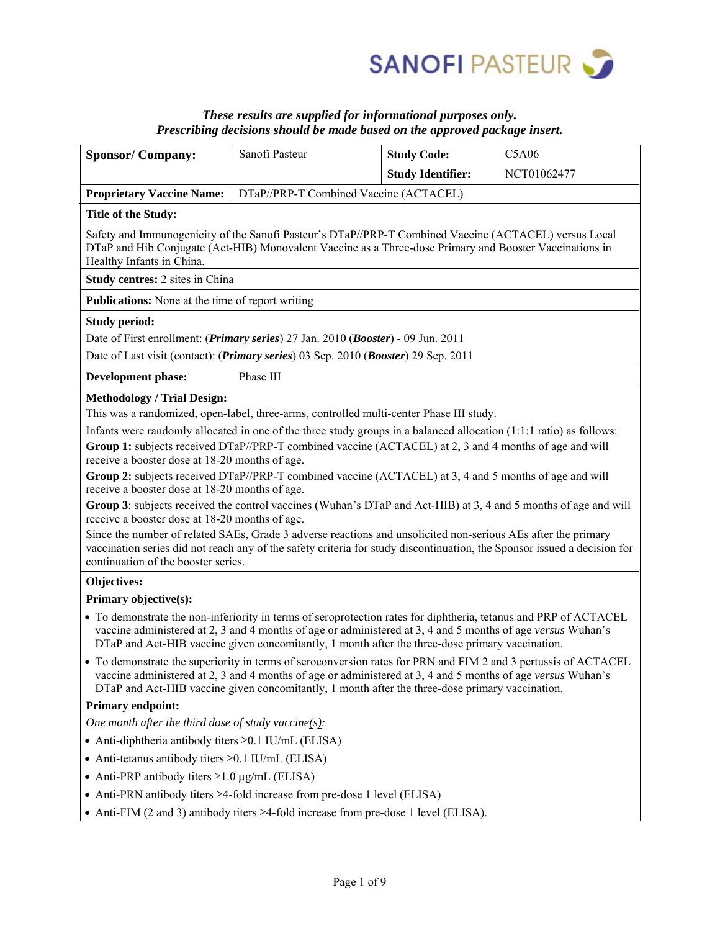

## *These results are supplied for informational purposes only. Prescribing decisions should be made based on the approved package insert.*

| <b>Sponsor/Company:</b>                                                                                                                                                                                                                                                                                                            | Sanofi Pasteur | <b>Study Code:</b>       | C5A06       |  |  |
|------------------------------------------------------------------------------------------------------------------------------------------------------------------------------------------------------------------------------------------------------------------------------------------------------------------------------------|----------------|--------------------------|-------------|--|--|
|                                                                                                                                                                                                                                                                                                                                    |                | <b>Study Identifier:</b> | NCT01062477 |  |  |
| <b>Proprietary Vaccine Name:</b>                                                                                                                                                                                                                                                                                                   |                |                          |             |  |  |
| DTaP//PRP-T Combined Vaccine (ACTACEL)                                                                                                                                                                                                                                                                                             |                |                          |             |  |  |
| <b>Title of the Study:</b>                                                                                                                                                                                                                                                                                                         |                |                          |             |  |  |
| Safety and Immunogenicity of the Sanofi Pasteur's DTaP//PRP-T Combined Vaccine (ACTACEL) versus Local<br>DTaP and Hib Conjugate (Act-HIB) Monovalent Vaccine as a Three-dose Primary and Booster Vaccinations in<br>Healthy Infants in China.                                                                                      |                |                          |             |  |  |
| <b>Study centres:</b> 2 sites in China                                                                                                                                                                                                                                                                                             |                |                          |             |  |  |
| <b>Publications:</b> None at the time of report writing                                                                                                                                                                                                                                                                            |                |                          |             |  |  |
| <b>Study period:</b>                                                                                                                                                                                                                                                                                                               |                |                          |             |  |  |
| Date of First enrollment: ( <i>Primary series</i> ) 27 Jan. 2010 ( <i>Booster</i> ) - 09 Jun. 2011                                                                                                                                                                                                                                 |                |                          |             |  |  |
| Date of Last visit (contact): ( <i>Primary series</i> ) 03 Sep. 2010 ( <i>Booster</i> ) 29 Sep. 2011                                                                                                                                                                                                                               |                |                          |             |  |  |
| Phase III<br><b>Development phase:</b>                                                                                                                                                                                                                                                                                             |                |                          |             |  |  |
| <b>Methodology / Trial Design:</b>                                                                                                                                                                                                                                                                                                 |                |                          |             |  |  |
| This was a randomized, open-label, three-arms, controlled multi-center Phase III study.                                                                                                                                                                                                                                            |                |                          |             |  |  |
| Infants were randomly allocated in one of the three study groups in a balanced allocation $(1:1:1$ ratio) as follows:                                                                                                                                                                                                              |                |                          |             |  |  |
| Group 1: subjects received DTaP//PRP-T combined vaccine (ACTACEL) at 2, 3 and 4 months of age and will                                                                                                                                                                                                                             |                |                          |             |  |  |
| receive a booster dose at 18-20 months of age.                                                                                                                                                                                                                                                                                     |                |                          |             |  |  |
| Group 2: subjects received DTaP//PRP-T combined vaccine (ACTACEL) at 3, 4 and 5 months of age and will                                                                                                                                                                                                                             |                |                          |             |  |  |
| receive a booster dose at 18-20 months of age.                                                                                                                                                                                                                                                                                     |                |                          |             |  |  |
| Group 3: subjects received the control vaccines (Wuhan's DTaP and Act-HIB) at 3, 4 and 5 months of age and will<br>receive a booster dose at 18-20 months of age.                                                                                                                                                                  |                |                          |             |  |  |
| Since the number of related SAEs, Grade 3 adverse reactions and unsolicited non-serious AEs after the primary<br>vaccination series did not reach any of the safety criteria for study discontinuation, the Sponsor issued a decision for<br>continuation of the booster series.                                                   |                |                          |             |  |  |
| Objectives:                                                                                                                                                                                                                                                                                                                        |                |                          |             |  |  |
| Primary objective(s):                                                                                                                                                                                                                                                                                                              |                |                          |             |  |  |
| • To demonstrate the non-inferiority in terms of seroprotection rates for diphtheria, tetanus and PRP of ACTACEL<br>vaccine administered at 2, 3 and 4 months of age or administered at 3, 4 and 5 months of age versus Wuhan's<br>DTaP and Act-HIB vaccine given concomitantly, 1 month after the three-dose primary vaccination. |                |                          |             |  |  |
| • To demonstrate the superiority in terms of seroconversion rates for PRN and FIM 2 and 3 pertussis of ACTACEL<br>vaccine administered at 2, 3 and 4 months of age or administered at 3, 4 and 5 months of age versus Wuhan's<br>DTaP and Act-HIB vaccine given concomitantly, 1 month after the three-dose primary vaccination.   |                |                          |             |  |  |
| <b>Primary endpoint:</b>                                                                                                                                                                                                                                                                                                           |                |                          |             |  |  |
| One month after the third dose of study vaccine $(s)$ :                                                                                                                                                                                                                                                                            |                |                          |             |  |  |
| • Anti-diphtheria antibody titers $\geq 0.1$ IU/mL (ELISA)                                                                                                                                                                                                                                                                         |                |                          |             |  |  |
| • Anti-tetanus antibody titers $\geq 0.1$ IU/mL (ELISA)                                                                                                                                                                                                                                                                            |                |                          |             |  |  |
| • Anti-PRP antibody titers $\geq 1.0$ µg/mL (ELISA)                                                                                                                                                                                                                                                                                |                |                          |             |  |  |
| • Anti-PRN antibody titers $\geq$ 4-fold increase from pre-dose 1 level (ELISA)                                                                                                                                                                                                                                                    |                |                          |             |  |  |
| • Anti-FIM (2 and 3) antibody titers $\geq$ 4-fold increase from pre-dose 1 level (ELISA).                                                                                                                                                                                                                                         |                |                          |             |  |  |
|                                                                                                                                                                                                                                                                                                                                    |                |                          |             |  |  |
|                                                                                                                                                                                                                                                                                                                                    |                |                          |             |  |  |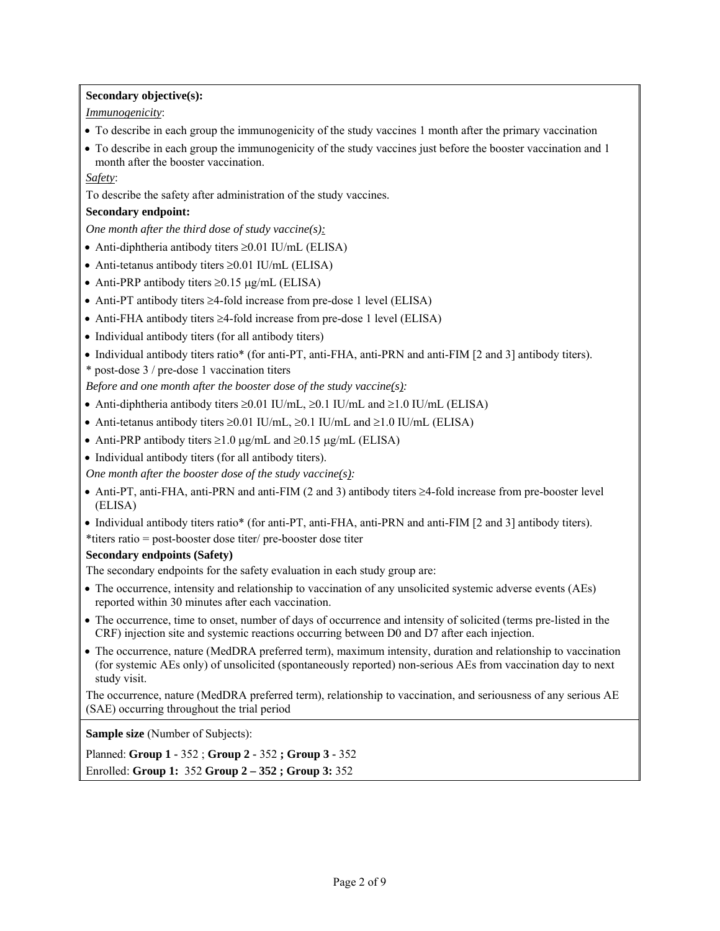**Secondary objective(s):** 

*Immunogenicity*:

- To describe in each group the immunogenicity of the study vaccines 1 month after the primary vaccination
- To describe in each group the immunogenicity of the study vaccines just before the booster vaccination and 1 month after the booster vaccination.

*Safety*:

To describe the safety after administration of the study vaccines.

#### **Secondary endpoint:**

*One month after the third dose of study vaccine(s):* 

- $\bullet$  Anti-diphtheria antibody titers  $\geq 0.01$  IU/mL (ELISA)
- Anti-tetanus antibody titers  $\geq 0.01$  IU/mL (ELISA)
- Anti-PRP antibody titers  $\geq 0.15$  µg/mL (ELISA)
- Anti-PT antibody titers  $\geq$ 4-fold increase from pre-dose 1 level (ELISA)
- Anti-FHA antibody titers  $\geq$ 4-fold increase from pre-dose 1 level (ELISA)
- Individual antibody titers (for all antibody titers)
- Individual antibody titers ratio\* (for anti-PT, anti-FHA, anti-PRN and anti-FIM [2 and 3] antibody titers).

\* post-dose 3 / pre-dose 1 vaccination titers

*Before and one month after the booster dose of the study vaccine(s):* 

- Anti-diphtheria antibody titers  $\geq 0.01$  IU/mL,  $\geq 0.1$  IU/mL and  $\geq 1.0$  IU/mL (ELISA)
- Anti-tetanus antibody titers  $\geq 0.01$  IU/mL,  $\geq 0.1$  IU/mL and  $\geq 1.0$  IU/mL (ELISA)
- Anti-PRP antibody titers  $\geq 1.0$   $\mu$ g/mL and  $\geq 0.15$   $\mu$ g/mL (ELISA)
- Individual antibody titers (for all antibody titers).

*One month after the booster dose of the study vaccine(s):* 

- $\bullet$  Anti-PT, anti-FHA, anti-PRN and anti-FIM (2 and 3) antibody titers  $\geq$ 4-fold increase from pre-booster level (ELISA)
- Individual antibody titers ratio\* (for anti-PT, anti-FHA, anti-PRN and anti-FIM [2 and 3] antibody titers).
- \*titers ratio = post-booster dose titer/ pre-booster dose titer

#### **Secondary endpoints (Safety)**

The secondary endpoints for the safety evaluation in each study group are:

- The occurrence, intensity and relationship to vaccination of any unsolicited systemic adverse events (AEs) reported within 30 minutes after each vaccination.
- The occurrence, time to onset, number of days of occurrence and intensity of solicited (terms pre-listed in the CRF) injection site and systemic reactions occurring between D0 and D7 after each injection.
- The occurrence, nature (MedDRA preferred term), maximum intensity, duration and relationship to vaccination (for systemic AEs only) of unsolicited (spontaneously reported) non-serious AEs from vaccination day to next study visit.

The occurrence, nature (MedDRA preferred term), relationship to vaccination, and seriousness of any serious AE (SAE) occurring throughout the trial period

**Sample size** (Number of Subjects):

Planned: **Group 1 -** 352 ; **Group 2 -** 352 **; Group 3 -** 352 Enrolled: **Group 1:** 352 **Group 2 – 352 ; Group 3:** 352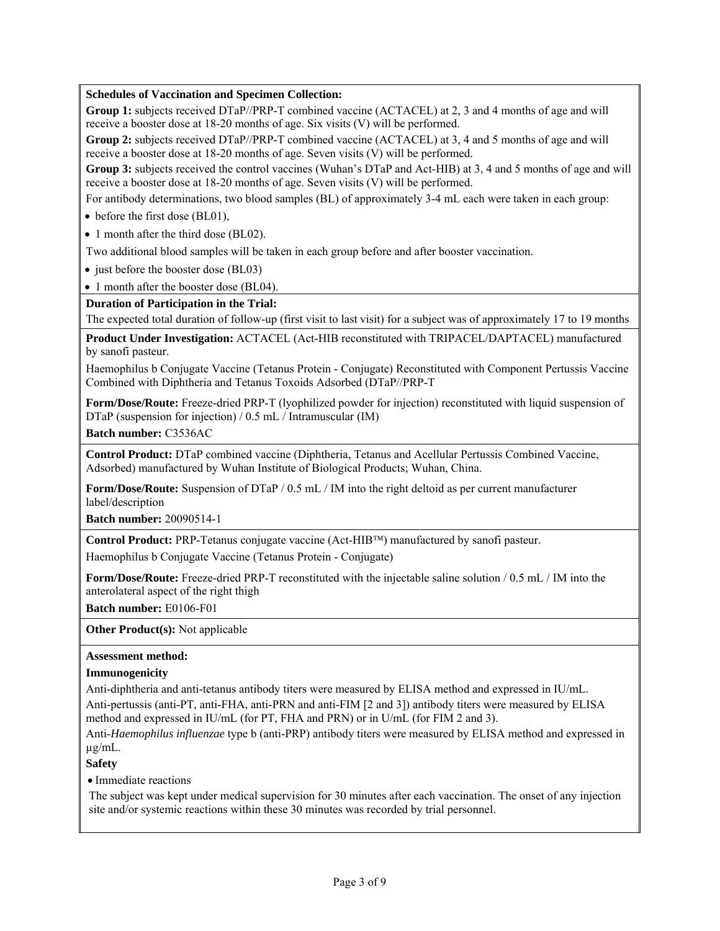## **Schedules of Vaccination and Specimen Collection:**

**Group 1:** subjects received DTaP//PRP-T combined vaccine (ACTACEL) at 2, 3 and 4 months of age and will receive a booster dose at 18-20 months of age. Six visits (V) will be performed.

**Group 2:** subjects received DTaP//PRP-T combined vaccine (ACTACEL) at 3, 4 and 5 months of age and will receive a booster dose at 18-20 months of age. Seven visits (V) will be performed.

**Group 3:** subjects received the control vaccines (Wuhan's DTaP and Act-HIB) at 3, 4 and 5 months of age and will receive a booster dose at 18-20 months of age. Seven visits (V) will be performed.

For antibody determinations, two blood samples (BL) of approximately 3-4 mL each were taken in each group:

• before the first dose (BL01),

• 1 month after the third dose (BL02).

Two additional blood samples will be taken in each group before and after booster vaccination.

• just before the booster dose (BL03)

• 1 month after the booster dose (BL04).

**Duration of Participation in the Trial:** 

The expected total duration of follow-up (first visit to last visit) for a subject was of approximately 17 to 19 months

**Product Under Investigation:** ACTACEL (Act-HIB reconstituted with TRIPACEL/DAPTACEL) manufactured by sanofi pasteur.

Haemophilus b Conjugate Vaccine (Tetanus Protein - Conjugate) Reconstituted with Component Pertussis Vaccine Combined with Diphtheria and Tetanus Toxoids Adsorbed (DTaP//PRP-T

**Form/Dose/Route:** Freeze-dried PRP-T (lyophilized powder for injection) reconstituted with liquid suspension of DTaP (suspension for injection) / 0.5 mL / Intramuscular (IM)

**Batch number:** C3536AC

**Control Product:** DTaP combined vaccine (Diphtheria, Tetanus and Acellular Pertussis Combined Vaccine, Adsorbed) manufactured by Wuhan Institute of Biological Products; Wuhan, China.

**Form/Dose/Route:** Suspension of DTaP / 0.5 mL / IM into the right deltoid as per current manufacturer label/description

**Batch number:** 20090514-1

**Control Product:** PRP-Tetanus conjugate vaccine (Act-HIB™) manufactured by sanofi pasteur.

Haemophilus b Conjugate Vaccine (Tetanus Protein - Conjugate)

**Form/Dose/Route:** Freeze-dried PRP-T reconstituted with the injectable saline solution / 0.5 mL / IM into the anterolateral aspect of the right thigh

**Batch number:** E0106-F01

**Other Product(s):** Not applicable

#### **Assessment method:**

#### **Immunogenicity**

Anti-diphtheria and anti-tetanus antibody titers were measured by ELISA method and expressed in IU/mL. Anti-pertussis (anti-PT, anti-FHA, anti-PRN and anti-FIM [2 and 3]) antibody titers were measured by ELISA method and expressed in IU/mL (for PT, FHA and PRN) or in U/mL (for FIM 2 and 3).

Anti-*Haemophilus influenzae* type b (anti-PRP) antibody titers were measured by ELISA method and expressed in µg/mL.

# **Safety**

• Immediate reactions

The subject was kept under medical supervision for 30 minutes after each vaccination. The onset of any injection site and/or systemic reactions within these 30 minutes was recorded by trial personnel.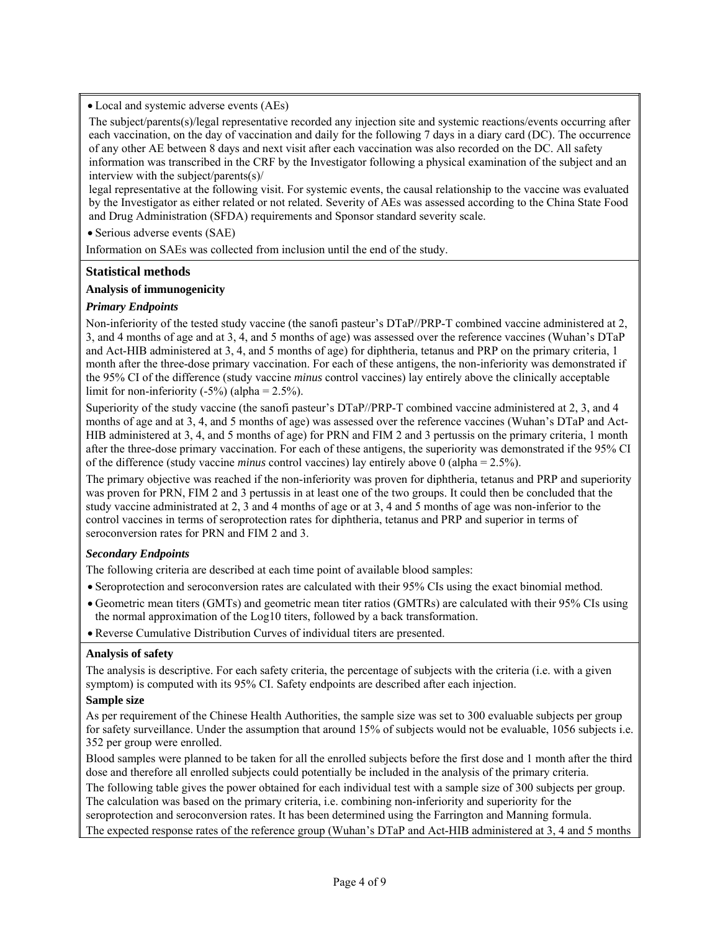• Local and systemic adverse events (AEs)

The subject/parents(s)/legal representative recorded any injection site and systemic reactions/events occurring after each vaccination, on the day of vaccination and daily for the following 7 days in a diary card (DC). The occurrence of any other AE between 8 days and next visit after each vaccination was also recorded on the DC. All safety information was transcribed in the CRF by the Investigator following a physical examination of the subject and an interview with the subject/parents(s)/

legal representative at the following visit. For systemic events, the causal relationship to the vaccine was evaluated by the Investigator as either related or not related. Severity of AEs was assessed according to the China State Food and Drug Administration (SFDA) requirements and Sponsor standard severity scale.

• Serious adverse events (SAE)

Information on SAEs was collected from inclusion until the end of the study.

## **Statistical methods**

## **Analysis of immunogenicity**

## *Primary Endpoints*

Non-inferiority of the tested study vaccine (the sanofi pasteur's DTaP//PRP-T combined vaccine administered at 2, 3, and 4 months of age and at 3, 4, and 5 months of age) was assessed over the reference vaccines (Wuhan's DTaP and Act-HIB administered at 3, 4, and 5 months of age) for diphtheria, tetanus and PRP on the primary criteria, 1 month after the three-dose primary vaccination. For each of these antigens, the non-inferiority was demonstrated if the 95% CI of the difference (study vaccine *minus* control vaccines) lay entirely above the clinically acceptable limit for non-inferiority  $(-5\%)$  (alpha = 2.5%).

Superiority of the study vaccine (the sanofi pasteur's DTaP//PRP-T combined vaccine administered at 2, 3, and 4 months of age and at 3, 4, and 5 months of age) was assessed over the reference vaccines (Wuhan's DTaP and Act-HIB administered at 3, 4, and 5 months of age) for PRN and FIM 2 and 3 pertussis on the primary criteria, 1 month after the three-dose primary vaccination. For each of these antigens, the superiority was demonstrated if the 95% CI of the difference (study vaccine *minus* control vaccines) lay entirely above 0 (alpha = 2.5%).

The primary objective was reached if the non-inferiority was proven for diphtheria, tetanus and PRP and superiority was proven for PRN, FIM 2 and 3 pertussis in at least one of the two groups. It could then be concluded that the study vaccine administrated at 2, 3 and 4 months of age or at 3, 4 and 5 months of age was non-inferior to the control vaccines in terms of seroprotection rates for diphtheria, tetanus and PRP and superior in terms of seroconversion rates for PRN and FIM 2 and 3.

## *Secondary Endpoints*

The following criteria are described at each time point of available blood samples:

- Seroprotection and seroconversion rates are calculated with their 95% CIs using the exact binomial method.
- Geometric mean titers (GMTs) and geometric mean titer ratios (GMTRs) are calculated with their 95% CIs using the normal approximation of the Log10 titers, followed by a back transformation.
- Reverse Cumulative Distribution Curves of individual titers are presented.

#### **Analysis of safety**

The analysis is descriptive. For each safety criteria, the percentage of subjects with the criteria (i.e. with a given symptom) is computed with its 95% CI. Safety endpoints are described after each injection.

### **Sample size**

As per requirement of the Chinese Health Authorities, the sample size was set to 300 evaluable subjects per group for safety surveillance. Under the assumption that around 15% of subjects would not be evaluable, 1056 subjects i.e. 352 per group were enrolled.

Blood samples were planned to be taken for all the enrolled subjects before the first dose and 1 month after the third dose and therefore all enrolled subjects could potentially be included in the analysis of the primary criteria.

The following table gives the power obtained for each individual test with a sample size of 300 subjects per group. The calculation was based on the primary criteria, i.e. combining non-inferiority and superiority for the seroprotection and seroconversion rates. It has been determined using the Farrington and Manning formula.

The expected response rates of the reference group (Wuhan's DTaP and Act-HIB administered at 3, 4 and 5 months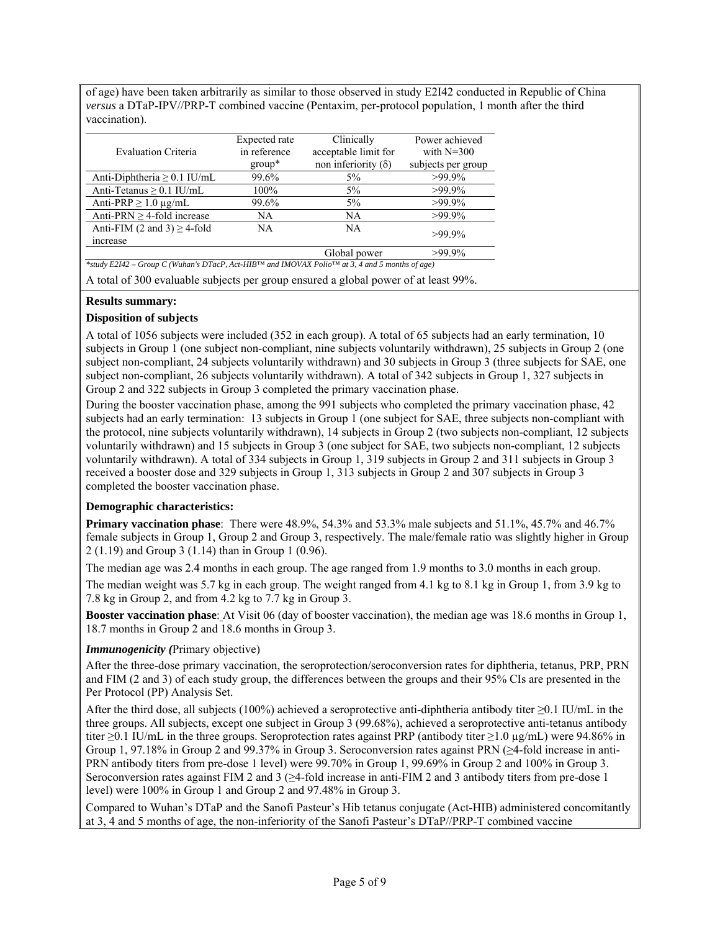of age) have been taken arbitrarily as similar to those observed in study E2I42 conducted in Republic of China *versus* a DTaP-IPV//PRP-T combined vaccine (Pentaxim, per-protocol population, 1 month after the third vaccination).

| Expected rate | Clinically                 | Power achieved     |
|---------------|----------------------------|--------------------|
| in reference  | acceptable limit for       | with $N=300$       |
| $group^*$     | non inferiority $(\delta)$ | subjects per group |
| 99.6%         | $5\%$                      | $>99.9\%$          |
| $100\%$       | $5\%$                      | $>99.9\%$          |
| 99.6%         | $5\%$                      | $>99.9\%$          |
| NA            | NA                         | $>99.9\%$          |
| NA            | NA                         | $>99.9\%$          |
|               |                            |                    |
|               | Global power               | $>99.9\%$          |
|               |                            |                    |

A total of 300 evaluable subjects per group ensured a global power of at least 99%.

## **Results summary:**

## **Disposition of subjects**

A total of 1056 subjects were included (352 in each group). A total of 65 subjects had an early termination, 10 subjects in Group 1 (one subject non-compliant, nine subjects voluntarily withdrawn), 25 subjects in Group 2 (one subject non-compliant, 24 subjects voluntarily withdrawn) and 30 subjects in Group 3 (three subjects for SAE, one subject non-compliant, 26 subjects voluntarily withdrawn). A total of 342 subjects in Group 1, 327 subjects in Group 2 and 322 subjects in Group 3 completed the primary vaccination phase.

During the booster vaccination phase, among the 991 subjects who completed the primary vaccination phase, 42 subjects had an early termination: 13 subjects in Group 1 (one subject for SAE, three subjects non-compliant with the protocol, nine subjects voluntarily withdrawn), 14 subjects in Group 2 (two subjects non-compliant, 12 subjects voluntarily withdrawn) and 15 subjects in Group 3 (one subject for SAE, two subjects non-compliant, 12 subjects voluntarily withdrawn). A total of 334 subjects in Group 1, 319 subjects in Group 2 and 311 subjects in Group 3 received a booster dose and 329 subjects in Group 1, 313 subjects in Group 2 and 307 subjects in Group 3 completed the booster vaccination phase.

#### **Demographic characteristics:**

**Primary vaccination phase**: There were 48.9%, 54.3% and 53.3% male subjects and 51.1%, 45.7% and 46.7% female subjects in Group 1, Group 2 and Group 3, respectively. The male/female ratio was slightly higher in Group 2 (1.19) and Group 3 (1.14) than in Group 1 (0.96).

The median age was 2.4 months in each group. The age ranged from 1.9 months to 3.0 months in each group.

The median weight was 5.7 kg in each group. The weight ranged from 4.1 kg to 8.1 kg in Group 1, from 3.9 kg to 7.8 kg in Group 2, and from 4.2 kg to 7.7 kg in Group 3.

**Booster vaccination phase**: At Visit 06 (day of booster vaccination), the median age was 18.6 months in Group 1, 18.7 months in Group 2 and 18.6 months in Group 3.

#### *Immunogenicity (*Primary objective)

After the three-dose primary vaccination, the seroprotection/seroconversion rates for diphtheria, tetanus, PRP, PRN and FIM (2 and 3) of each study group, the differences between the groups and their 95% CIs are presented in the Per Protocol (PP) Analysis Set.

After the third dose, all subjects (100%) achieved a seroprotective anti-diphtheria antibody titer ≥0.1 IU/mL in the three groups. All subjects, except one subject in Group 3 (99.68%), achieved a seroprotective anti-tetanus antibody titer ≥0.1 IU/mL in the three groups. Seroprotection rates against PRP (antibody titer ≥1.0 µg/mL) were 94.86% in Group 1, 97.18% in Group 2 and 99.37% in Group 3. Seroconversion rates against PRN (≥4-fold increase in anti-PRN antibody titers from pre-dose 1 level) were 99.70% in Group 1, 99.69% in Group 2 and 100% in Group 3. Seroconversion rates against FIM 2 and 3 (≥4-fold increase in anti-FIM 2 and 3 antibody titers from pre-dose 1 level) were 100% in Group 1 and Group 2 and 97.48% in Group 3.

Compared to Wuhan's DTaP and the Sanofi Pasteur's Hib tetanus conjugate (Act-HIB) administered concomitantly at 3, 4 and 5 months of age, the non-inferiority of the Sanofi Pasteur's DTaP//PRP-T combined vaccine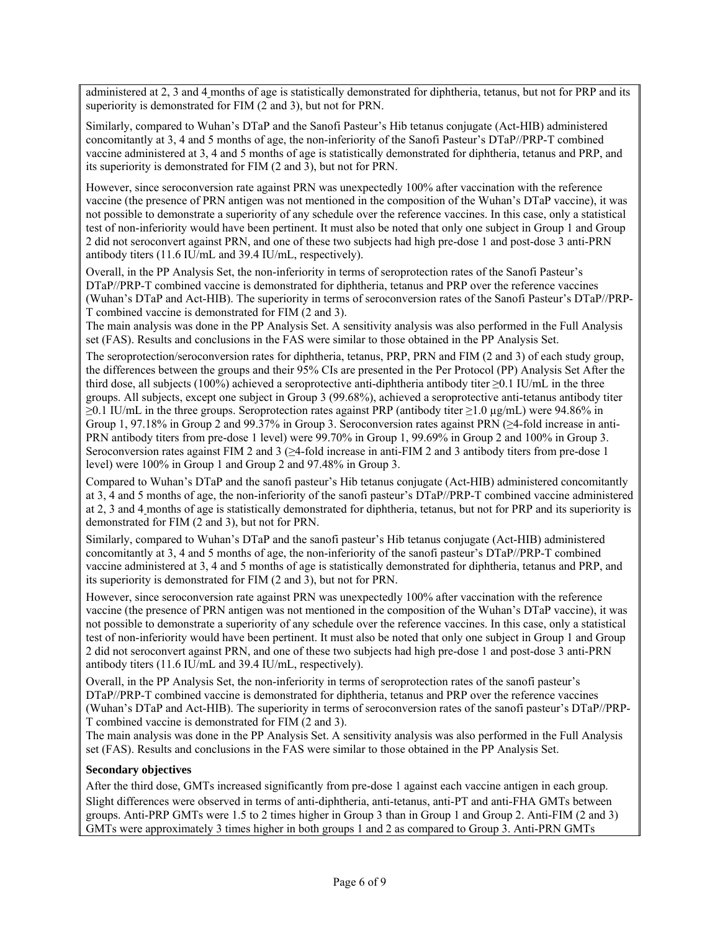administered at 2, 3 and 4 months of age is statistically demonstrated for diphtheria, tetanus, but not for PRP and its superiority is demonstrated for FIM (2 and 3), but not for PRN.

Similarly, compared to Wuhan's DTaP and the Sanofi Pasteur's Hib tetanus conjugate (Act-HIB) administered concomitantly at 3, 4 and 5 months of age, the non-inferiority of the Sanofi Pasteur's DTaP//PRP-T combined vaccine administered at 3, 4 and 5 months of age is statistically demonstrated for diphtheria, tetanus and PRP, and its superiority is demonstrated for FIM (2 and 3), but not for PRN.

However, since seroconversion rate against PRN was unexpectedly 100% after vaccination with the reference vaccine (the presence of PRN antigen was not mentioned in the composition of the Wuhan's DTaP vaccine), it was not possible to demonstrate a superiority of any schedule over the reference vaccines. In this case, only a statistical test of non-inferiority would have been pertinent. It must also be noted that only one subject in Group 1 and Group 2 did not seroconvert against PRN, and one of these two subjects had high pre-dose 1 and post-dose 3 anti-PRN antibody titers (11.6 IU/mL and 39.4 IU/mL, respectively).

Overall, in the PP Analysis Set, the non-inferiority in terms of seroprotection rates of the Sanofi Pasteur's DTaP//PRP-T combined vaccine is demonstrated for diphtheria, tetanus and PRP over the reference vaccines (Wuhan's DTaP and Act-HIB). The superiority in terms of seroconversion rates of the Sanofi Pasteur's DTaP//PRP-T combined vaccine is demonstrated for FIM (2 and 3).

The main analysis was done in the PP Analysis Set. A sensitivity analysis was also performed in the Full Analysis set (FAS). Results and conclusions in the FAS were similar to those obtained in the PP Analysis Set.

The seroprotection/seroconversion rates for diphtheria, tetanus, PRP, PRN and FIM (2 and 3) of each study group, the differences between the groups and their 95% CIs are presented in the Per Protocol (PP) Analysis Set After the third dose, all subjects (100%) achieved a seroprotective anti-diphtheria antibody titer  $\geq 0.1$  IU/mL in the three groups. All subjects, except one subject in Group 3 (99.68%), achieved a seroprotective anti-tetanus antibody titer ≥0.1 IU/mL in the three groups. Seroprotection rates against PRP (antibody titer ≥1.0 µg/mL) were 94.86% in Group 1, 97.18% in Group 2 and 99.37% in Group 3. Seroconversion rates against PRN (≥4-fold increase in anti-PRN antibody titers from pre-dose 1 level) were 99.70% in Group 1, 99.69% in Group 2 and 100% in Group 3. Seroconversion rates against FIM 2 and 3 (≥4-fold increase in anti-FIM 2 and 3 antibody titers from pre-dose 1 level) were 100% in Group 1 and Group 2 and 97.48% in Group 3.

Compared to Wuhan's DTaP and the sanofi pasteur's Hib tetanus conjugate (Act-HIB) administered concomitantly at 3, 4 and 5 months of age, the non-inferiority of the sanofi pasteur's DTaP//PRP-T combined vaccine administered at 2, 3 and 4 months of age is statistically demonstrated for diphtheria, tetanus, but not for PRP and its superiority is demonstrated for FIM (2 and 3), but not for PRN.

Similarly, compared to Wuhan's DTaP and the sanofi pasteur's Hib tetanus conjugate (Act-HIB) administered concomitantly at 3, 4 and 5 months of age, the non-inferiority of the sanofi pasteur's DTaP//PRP-T combined vaccine administered at 3, 4 and 5 months of age is statistically demonstrated for diphtheria, tetanus and PRP, and its superiority is demonstrated for FIM (2 and 3), but not for PRN.

However, since seroconversion rate against PRN was unexpectedly 100% after vaccination with the reference vaccine (the presence of PRN antigen was not mentioned in the composition of the Wuhan's DTaP vaccine), it was not possible to demonstrate a superiority of any schedule over the reference vaccines. In this case, only a statistical test of non-inferiority would have been pertinent. It must also be noted that only one subject in Group 1 and Group 2 did not seroconvert against PRN, and one of these two subjects had high pre-dose 1 and post-dose 3 anti-PRN antibody titers (11.6 IU/mL and 39.4 IU/mL, respectively).

Overall, in the PP Analysis Set, the non-inferiority in terms of seroprotection rates of the sanofi pasteur's DTaP//PRP-T combined vaccine is demonstrated for diphtheria, tetanus and PRP over the reference vaccines (Wuhan's DTaP and Act-HIB). The superiority in terms of seroconversion rates of the sanofi pasteur's DTaP//PRP-T combined vaccine is demonstrated for FIM (2 and 3).

The main analysis was done in the PP Analysis Set. A sensitivity analysis was also performed in the Full Analysis set (FAS). Results and conclusions in the FAS were similar to those obtained in the PP Analysis Set.

#### **Secondary objectives**

After the third dose, GMTs increased significantly from pre-dose 1 against each vaccine antigen in each group. Slight differences were observed in terms of anti-diphtheria, anti-tetanus, anti-PT and anti-FHA GMTs between groups. Anti-PRP GMTs were 1.5 to 2 times higher in Group 3 than in Group 1 and Group 2. Anti-FIM (2 and 3) GMTs were approximately 3 times higher in both groups 1 and 2 as compared to Group 3. Anti-PRN GMTs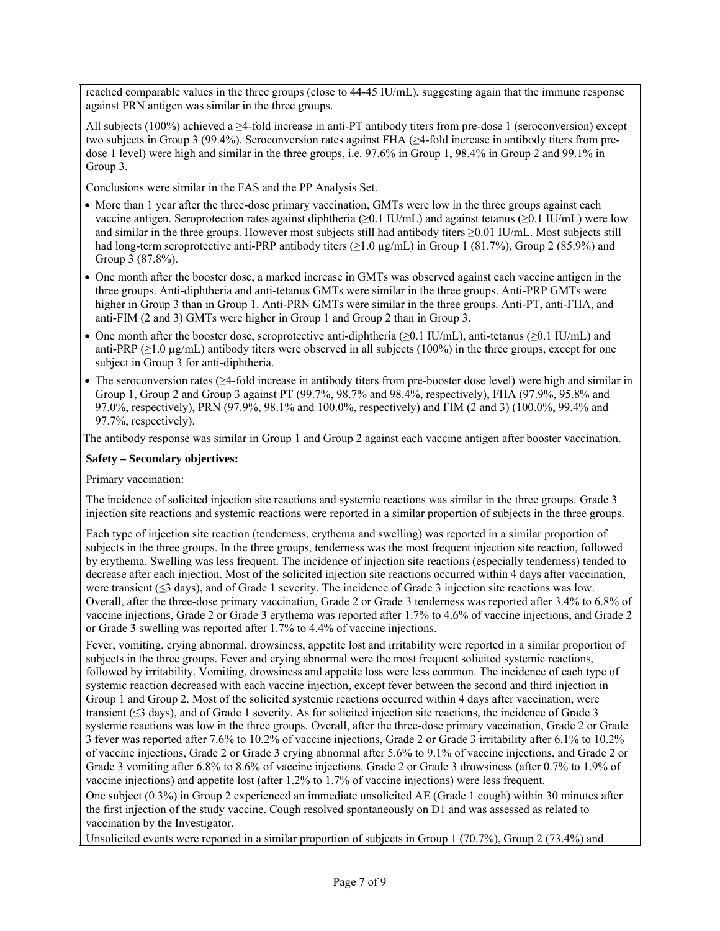reached comparable values in the three groups (close to 44-45 IU/mL), suggesting again that the immune response against PRN antigen was similar in the three groups.

All subjects (100%) achieved a  $\geq$ 4-fold increase in anti-PT antibody titers from pre-dose 1 (seroconversion) except two subjects in Group 3 (99.4%). Seroconversion rates against FHA (≥4-fold increase in antibody titers from predose 1 level) were high and similar in the three groups, i.e. 97.6% in Group 1, 98.4% in Group 2 and 99.1% in Group 3.

Conclusions were similar in the FAS and the PP Analysis Set.

- More than 1 year after the three-dose primary vaccination, GMTs were low in the three groups against each vaccine antigen. Seroprotection rates against diphtheria (≥0.1 IU/mL) and against tetanus (≥0.1 IU/mL) were low and similar in the three groups. However most subjects still had antibody titers ≥0.01 IU/mL. Most subjects still had long-term seroprotective anti-PRP antibody titers  $(\geq 1.0 \,\mu\text{g/mL})$  in Group 1 (81.7%), Group 2 (85.9%) and Group 3 (87.8%).
- One month after the booster dose, a marked increase in GMTs was observed against each vaccine antigen in the three groups. Anti-diphtheria and anti-tetanus GMTs were similar in the three groups. Anti-PRP GMTs were higher in Group 3 than in Group 1. Anti-PRN GMTs were similar in the three groups. Anti-PT, anti-FHA, and anti-FIM (2 and 3) GMTs were higher in Group 1 and Group 2 than in Group 3.
- One month after the booster dose, seroprotective anti-diphtheria ( $\geq 0.1$  IU/mL), anti-tetanus ( $\geq 0.1$  IU/mL) and anti-PRP ( $\geq$ 1.0 µg/mL) antibody titers were observed in all subjects (100%) in the three groups, except for one subject in Group 3 for anti-diphtheria.
- The seroconversion rates (≥4-fold increase in antibody titers from pre-booster dose level) were high and similar in Group 1, Group 2 and Group 3 against PT (99.7%, 98.7% and 98.4%, respectively), FHA (97.9%, 95.8% and 97.0%, respectively), PRN (97.9%, 98.1% and 100.0%, respectively) and FIM (2 and 3) (100.0%, 99.4% and 97.7%, respectively).

The antibody response was similar in Group 1 and Group 2 against each vaccine antigen after booster vaccination.

## **Safety – Secondary objectives:**

## Primary vaccination:

The incidence of solicited injection site reactions and systemic reactions was similar in the three groups. Grade 3 injection site reactions and systemic reactions were reported in a similar proportion of subjects in the three groups.

Each type of injection site reaction (tenderness, erythema and swelling) was reported in a similar proportion of subjects in the three groups. In the three groups, tenderness was the most frequent injection site reaction, followed by erythema. Swelling was less frequent. The incidence of injection site reactions (especially tenderness) tended to decrease after each injection. Most of the solicited injection site reactions occurred within 4 days after vaccination, were transient (≤3 days), and of Grade 1 severity. The incidence of Grade 3 injection site reactions was low. Overall, after the three-dose primary vaccination, Grade 2 or Grade 3 tenderness was reported after 3.4% to 6.8% of vaccine injections, Grade 2 or Grade 3 erythema was reported after 1.7% to 4.6% of vaccine injections, and Grade 2 or Grade 3 swelling was reported after 1.7% to 4.4% of vaccine injections.

Fever, vomiting, crying abnormal, drowsiness, appetite lost and irritability were reported in a similar proportion of subjects in the three groups. Fever and crying abnormal were the most frequent solicited systemic reactions, followed by irritability. Vomiting, drowsiness and appetite loss were less common. The incidence of each type of systemic reaction decreased with each vaccine injection, except fever between the second and third injection in Group 1 and Group 2. Most of the solicited systemic reactions occurred within 4 days after vaccination, were transient (≤3 days), and of Grade 1 severity. As for solicited injection site reactions, the incidence of Grade 3 systemic reactions was low in the three groups. Overall, after the three-dose primary vaccination, Grade 2 or Grade 3 fever was reported after 7.6% to 10.2% of vaccine injections, Grade 2 or Grade 3 irritability after 6.1% to 10.2% of vaccine injections, Grade 2 or Grade 3 crying abnormal after 5.6% to 9.1% of vaccine injections, and Grade 2 or Grade 3 vomiting after 6.8% to 8.6% of vaccine injections. Grade 2 or Grade 3 drowsiness (after 0.7% to 1.9% of vaccine injections) and appetite lost (after 1.2% to 1.7% of vaccine injections) were less frequent.

One subject (0.3%) in Group 2 experienced an immediate unsolicited AE (Grade 1 cough) within 30 minutes after the first injection of the study vaccine. Cough resolved spontaneously on D1 and was assessed as related to vaccination by the Investigator.

Unsolicited events were reported in a similar proportion of subjects in Group 1 (70.7%), Group 2 (73.4%) and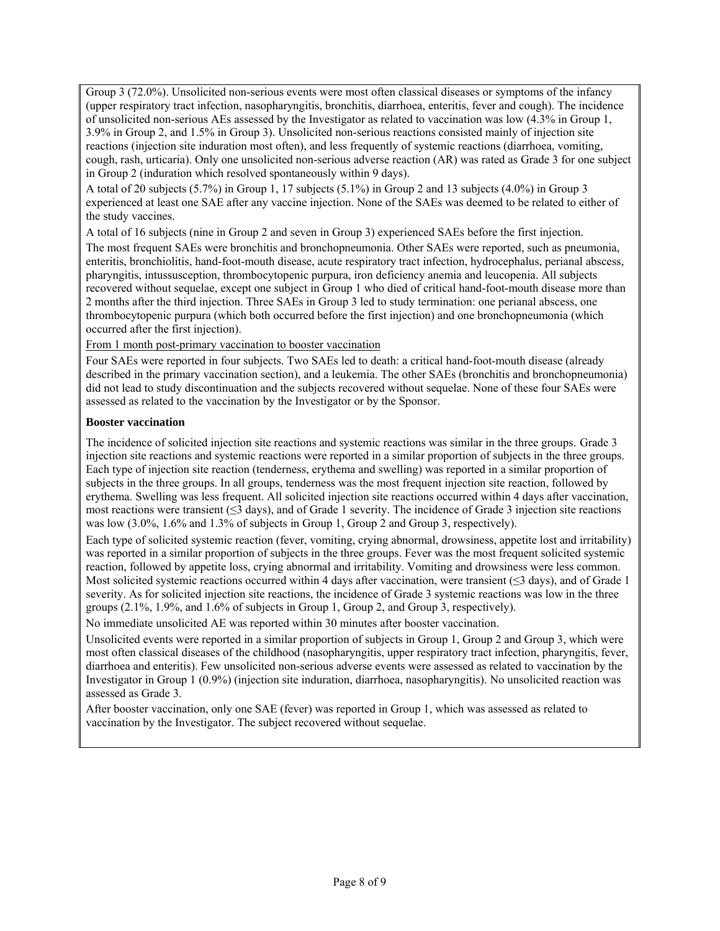Group 3 (72.0%). Unsolicited non-serious events were most often classical diseases or symptoms of the infancy (upper respiratory tract infection, nasopharyngitis, bronchitis, diarrhoea, enteritis, fever and cough). The incidence of unsolicited non-serious AEs assessed by the Investigator as related to vaccination was low (4.3% in Group 1, 3.9% in Group 2, and 1.5% in Group 3). Unsolicited non-serious reactions consisted mainly of injection site reactions (injection site induration most often), and less frequently of systemic reactions (diarrhoea, vomiting, cough, rash, urticaria). Only one unsolicited non-serious adverse reaction (AR) was rated as Grade 3 for one subject in Group 2 (induration which resolved spontaneously within 9 days).

A total of 20 subjects (5.7%) in Group 1, 17 subjects (5.1%) in Group 2 and 13 subjects (4.0%) in Group 3 experienced at least one SAE after any vaccine injection. None of the SAEs was deemed to be related to either of the study vaccines.

A total of 16 subjects (nine in Group 2 and seven in Group 3) experienced SAEs before the first injection.

The most frequent SAEs were bronchitis and bronchopneumonia. Other SAEs were reported, such as pneumonia, enteritis, bronchiolitis, hand-foot-mouth disease, acute respiratory tract infection, hydrocephalus, perianal abscess, pharyngitis, intussusception, thrombocytopenic purpura, iron deficiency anemia and leucopenia. All subjects recovered without sequelae, except one subject in Group 1 who died of critical hand-foot-mouth disease more than 2 months after the third injection. Three SAEs in Group 3 led to study termination: one perianal abscess, one thrombocytopenic purpura (which both occurred before the first injection) and one bronchopneumonia (which occurred after the first injection).

From 1 month post-primary vaccination to booster vaccination

Four SAEs were reported in four subjects. Two SAEs led to death: a critical hand-foot-mouth disease (already described in the primary vaccination section), and a leukemia. The other SAEs (bronchitis and bronchopneumonia) did not lead to study discontinuation and the subjects recovered without sequelae. None of these four SAEs were assessed as related to the vaccination by the Investigator or by the Sponsor.

## **Booster vaccination**

The incidence of solicited injection site reactions and systemic reactions was similar in the three groups. Grade 3 injection site reactions and systemic reactions were reported in a similar proportion of subjects in the three groups. Each type of injection site reaction (tenderness, erythema and swelling) was reported in a similar proportion of subjects in the three groups. In all groups, tenderness was the most frequent injection site reaction, followed by erythema. Swelling was less frequent. All solicited injection site reactions occurred within 4 days after vaccination, most reactions were transient (≤3 days), and of Grade 1 severity. The incidence of Grade 3 injection site reactions was low (3.0%, 1.6% and 1.3% of subjects in Group 1, Group 2 and Group 3, respectively).

Each type of solicited systemic reaction (fever, vomiting, crying abnormal, drowsiness, appetite lost and irritability) was reported in a similar proportion of subjects in the three groups. Fever was the most frequent solicited systemic reaction, followed by appetite loss, crying abnormal and irritability. Vomiting and drowsiness were less common. Most solicited systemic reactions occurred within 4 days after vaccination, were transient ( $\leq$ 3 days), and of Grade 1 severity. As for solicited injection site reactions, the incidence of Grade 3 systemic reactions was low in the three groups (2.1%, 1.9%, and 1.6% of subjects in Group 1, Group 2, and Group 3, respectively).

No immediate unsolicited AE was reported within 30 minutes after booster vaccination.

Unsolicited events were reported in a similar proportion of subjects in Group 1, Group 2 and Group 3, which were most often classical diseases of the childhood (nasopharyngitis, upper respiratory tract infection, pharyngitis, fever, diarrhoea and enteritis). Few unsolicited non-serious adverse events were assessed as related to vaccination by the Investigator in Group 1 (0.9%) (injection site induration, diarrhoea, nasopharyngitis). No unsolicited reaction was assessed as Grade 3.

After booster vaccination, only one SAE (fever) was reported in Group 1, which was assessed as related to vaccination by the Investigator. The subject recovered without sequelae.